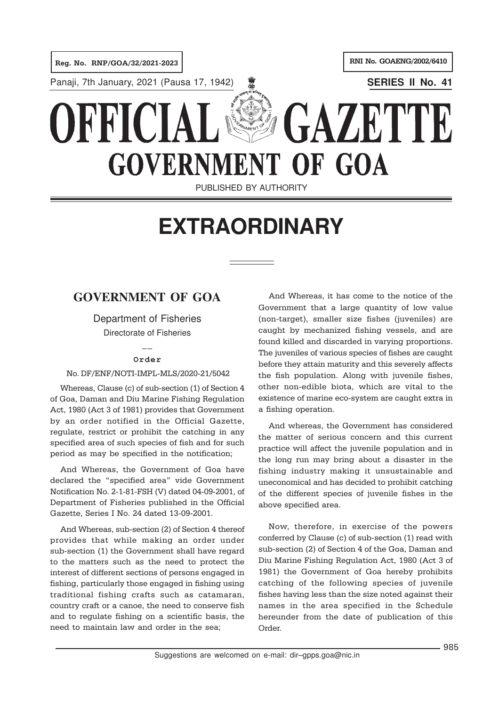

# **EXTRAORDINARY**

# **GOVERNMENT OF GOA**

Department of Fisheries Directorate of Fisheries

## $\overline{a}$ **Order**

### No. DF/ENF/NOTI-IMPL-MLS/2020-21/5042

Whereas, Clause (c) of sub-section (1) of Section 4 of Goa, Daman and Diu Marine Fishing Regulation Act, 1980 (Act 3 of 1981) provides that Government by an order notified in the Official Gazette, regulate, restrict or prohibit the catching in any specified area of such species of fish and for such period as may be specified in the notification;

And Whereas, the Government of Goa have declared the "specified area" vide Government Notification No. 2-1-81-FSH (V) dated 04-09-2001, of Department of Fisheries published in the Official Gazette, Series I No. 24 dated 13-09-2001.

And Whereas, sub-section (2) of Section 4 thereof provides that while making an order under sub-section (1) the Government shall have regard to the matters such as the need to protect the interest of different sections of persons engaged in fishing, particularly those engaged in fishing using traditional fishing crafts such as catamaran, country craft or a canoe, the need to conserve fish and to regulate fishing on a scientific basis, the need to maintain law and order in the sea;

And Whereas, it has come to the notice of the Government that a large quantity of low value (non-target), smaller size fishes (juveniles) are caught by mechanized fishing vessels, and are found killed and discarded in varying proportions. The juveniles of various species of fishes are caught before they attain maturity and this severely affects the fish population. Along with juvenile fishes, other non-edible biota, which are vital to the existence of marine eco-system are caught extra in a fishing operation.

And whereas, the Government has considered the matter of serious concern and this current practice will affect the juvenile population and in the long run may bring about a disaster in the fishing industry making it unsustainable and uneconomical and has decided to prohibit catching of the different species of juvenile fishes in the above specified area.

Now, therefore, in exercise of the powers conferred by Clause (c) of sub-section (1) read with sub-section (2) of Section 4 of the Goa, Daman and Diu Marine Fishing Regulation Act, 1980 (Act 3 of 1981) the Government of Goa hereby prohibits catching of the following species of juvenile fishes having less than the size noted against their names in the area specified in the Schedule hereunder from the date of publication of this Order.